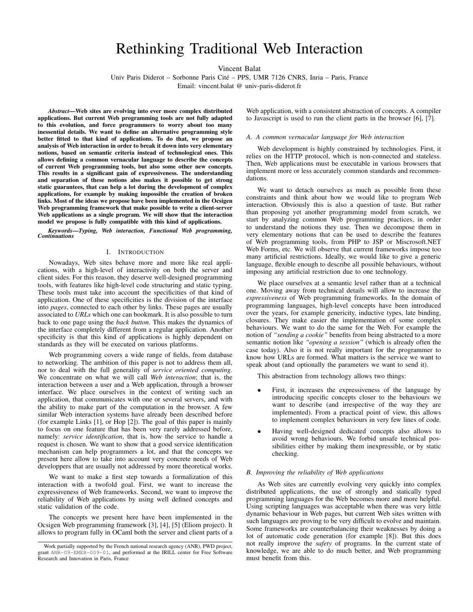# Rethinking Traditional Web Interaction

Vincent Balat

Univ Paris Diderot – Sorbonne Paris Cite – PPS, UMR 7126 CNRS, Inria – Paris, France ´

Email: vincent.balat @ univ-paris-diderot.fr

*Abstract*—Web sites are evolving into ever more complex distributed applications. But current Web programming tools are not fully adapted to this evolution, and force programmers to worry about too many inessential details. We want to define an alternative programming style better fitted to that kind of applications. To do that, we propose an analysis of Web interaction in order to break it down into very elementary notions, based on semantic criteria instead of technological ones. This allows defining a common vernacular language to describe the concepts of current Web programming tools, but also some other new concepts. This results in a significant gain of expressiveness. The understanding and separation of these notions also makes it possible to get strong static guarantees, that can help a lot during the development of complex applications, for example by making impossible the creation of broken links. Most of the ideas we propose have been implemented in the Ocsigen Web programming framework that make possible to write a client-server Web applications as a single program. We will show that the interaction model we propose is fully compatible with this kind of applications.

*Keywords*—*Typing, Web interaction, Functional Web programming, Continuations*

#### I. INTRODUCTION

Nowadays, Web sites behave more and more like real applications, with a high-level of interactivity on both the server and client sides. For this reason, they deserve well-designed programming tools, with features like high-level code structuring and static typing. These tools must take into account the specificities of that kind of application. One of these specificities is the division of the interface into *pages*, connected to each other by links. These pages are usually associated to *URLs* which one can bookmark. It is also possible to turn back to one page using the *back button*. This makes the dynamics of the interface completely different from a regular application. Another specificity is that this kind of applications is highly dependent on standards as they will be executed on various platforms.

Web programming covers a wide range of fields, from database to networking. The ambition of this paper is not to address them all, nor to deal with the full generality of *service oriented computing*. We concentrate on what we will call *Web interaction*; that is, the interaction between a user and a Web application, through a browser interface. We place ourselves in the context of writing such an application, that communicates with one or several servers, and with the ability to make part of the computation in the browser. A few similar Web interaction systems have already been described before (for example Links [1], or Hop [2]). The goal of this paper is mainly to focus on one feature that has been very rarely addressed before, namely: *service identification*, that is, how the service to handle a request is chosen. We want to show that a good service identification mechanism can help programmers a lot, and that the concepts we present here allow to take into account very concrete needs of Web developpers that are usually not addressed by more theoretical works.

We want to make a first step towards a formalization of this interaction with a twofold goal. First, we want to increase the expressiveness of Web frameworks. Second, we want to improve the reliability of Web applications by using well defined concepts and static validation of the code.

The concepts we present here have been implemented in the Ocsigen Web programming framework [3], [4], [5] (Eliom project). It allows to program fully in OCaml both the server and client parts of a Web application, with a consistent abstraction of concepts. A compiler to Javascript is used to run the client parts in the browser [6], [7].

#### *A. A common vernacular language for Web interaction*

Web development is highly constrained by technologies. First, it relies on the HTTP protocol, which is non-connected and stateless. Then, Web applications must be executable in various browsers that implement more or less accurately common standards and recommendations.

We want to detach ourselves as much as possible from these constraints and think about how we would like to program Web interaction. Obviously this is also a question of taste. But rather than proposing yet another programming model from scratch, we start by analyzing common Web programming practices, in order to understand the notions they use. Then we decompose them in very elementary notions that can be used to describe the features of Web programming tools, from PHP to JSP or Miscrosoft.NET Web Forms, etc. We will observe that current frameworks impose too many artificial restrictions. Ideally, we would like to give a generic language, flexible enough to describe all possible behaviours, without imposing any artificial restriction due to one technology.

We place ourselves at a semantic level rather than at a technical one. Moving away from technical details will allow to increase the *expressiveness* of Web programming frameworks. In the domain of programming languages, high-level concepts have been introduced over the years, for example genericity, inductive types, late binding, closures. They make easier the implementation of some complex behaviours. We want to do the same for the Web. For example the notion of *"sending a cookie"* benefits from being abstracted to a more semantic notion like *"opening a session"* (which is already often the case today). Also it is not really important for the programmer to know how URLs are formed. What matters is the service we want to speak about (and optionally the parameters we want to send it).

This abstraction from technology allows two things:

- First, it increases the expressiveness of the language by introducing specific concepts closer to the behaviours we want to describe (and irrespective of the way they are implemented). From a practical point of view, this allows to implement complex behaviours in very few lines of code.
- Having well-designed dedicated concepts also allows to avoid wrong behaviours. We forbid unsafe technical possibilities either by making them inexpressible, or by static checking.

#### *B. Improving the reliability of Web applications*

As Web sites are currently evolving very quickly into complex distributed applications, the use of strongly and statically typed programming languages for the Web becomes more and more helpful. Using scripting languages was acceptable when there was very little dynamic behaviour in Web pages, but current Web sites written with such languages are proving to be very difficult to evolve and maintain. Some frameworks are counterbalancing their weaknesses by doing a lot of automatic code generation (for example [8]). But this does not really improve the *safety* of programs. In the current state of knowledge, we are able to do much better, and Web programming must benefit from this.

Work partially supported by the French national research agency (ANR), PWD project, grant ANR-09-EMER-009-01, and performed at the IRILL center for Free Software Research and Innovation in Paris, France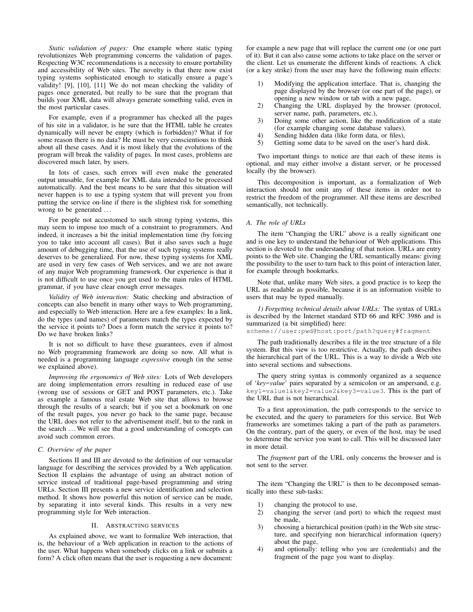*Static validation of pages:* One example where static typing revolutionizes Web programming concerns the validation of pages. Respecting W3C recommendations is a necessity to ensure portability and accessibility of Web sites. The novelty is that there now exist typing systems sophisticated enough to statically ensure a page's validity! [9], [10], [11] We do not mean checking the validity of pages once generated, but really to be sure that the program that builds your XML data will always generate something valid, even in the most particular cases.

For example, even if a programmer has checked all the pages of his site in a validator, is he sure that the HTML table he creates dynamically will never be empty (which is forbidden)? What if for some reason there is no data? He must be very conscientious to think about all these cases. And it is most likely that the evolutions of the program will break the validity of pages. In most cases, problems are discovered much later, by users.

In lots of cases, such errors will even make the generated output unusable, for example for XML data intended to be processed automatically. And the best means to be sure that this situation will never happen is to use a typing system that will prevent you from putting the service on-line if there is the slightest risk for something wrong to be generated ...

For people not accustomed to such strong typing systems, this may seem to impose too much of a constraint to programmers. And indeed, it increases a bit the initial implementation time (by forcing you to take into account all cases). But it also saves such a huge amount of debugging time, that the use of such typing systems really deserves to be generalized. For now, these typing systems for XML are used in very few cases of Web services, and we are not aware of any major Web programming framework. Our experience is that it is not difficult to use once you get used to the main rules of HTML grammar, if you have clear enough error messages.

*Validity of Web interaction:* Static checking and abstraction of concepts can also benefit in many other ways to Web programming, and especially to Web interaction. Here are a few examples: In a link, do the types (and names) of parameters match the types expected by the service it points to? Does a form match the service it points to? Do we have broken links?

It is not so difficult to have these guarantees, even if almost no Web programming framework are doing so now. All what is needed is a programming language *expressive* enough (in the sense we explained above).

*Improving the ergonomics of Web sites:* Lots of Web developers are doing implementation errors resulting in reduced ease of use (wrong use of sessions or GET and POST parameters, etc.). Take as example a famous real estate Web site that allows to browse through the results of a search; but if you set a bookmark on one of the result pages, you never go back to the same page, because the URL does not refer to the advertisement itself, but to the rank in the search ... We will see that a good understanding of concepts can avoid such common errors.

## *C. Overview of the paper*

Sections II and III are devoted to the definition of our vernacular language for describing the services provided by a Web application. Section II explains the advantage of using an abstract notion of service instead of traditional page-based programming and string URLs. Section III presents a new service identification and selection method. It shows how powerful this notion of service can be made, by separating it into several kinds. This results in a very new programming style for Web interaction.

## II. ABSTRACTING SERVICES

As explained above, we want to formalize Web interaction, that is, the behaviour of a Web application in reaction to the actions of the user. What happens when somebody clicks on a link or submits a form? A click often means that the user is requesting a new document: for example a new page that will replace the current one (or one part of it). But it can also cause some actions to take place on the server or the client. Let us enumerate the different kinds of reactions. A click (or a key strike) from the user may have the following main effects:

- 1) Modifying the application interface. That is, changing the page displayed by the browser (or one part of the page), or opening a new window or tab with a new page,
- 2) Changing the URL displayed by the browser (protocol, server name, path, parameters, etc.),
- 3) Doing some other action, like the modification of a state (for example changing some database values),
- 4) Sending hidden data (like form data, or files),
- 5) Getting some data to be saved on the user's hard disk.

Two important things to notice are that each of these items is optional, and may either involve a distant server, or be processed locally (by the browser).

This decomposition is important, as a formalization of Web interaction should not omit any of these items in order not to restrict the freedom of the programmer. All these items are described semantically, not technically.

#### *A. The role of URLs*

The item "Changing the URL" above is a really significant one and is one key to understand the behaviour of Web applications. This section is devoted to the understanding of that notion. URLs are entry points to the Web site. Changing the URL semantically means: giving the possibility to the user to turn back to this point of interaction later, for example through bookmarks.

Note that, unlike many Web sites, a good practice is to keep the URL as readable as possible, because it is an information visible to users that may be typed manually.

*1) Forgetting technical details about URLs:* The syntax of URLs is described by the Internet standard STD 66 and RFC 3986 and is summarized (a bit simplified) here:

scheme://user:pwd@host:port/path?query#fragment

The path traditionally describes a file in the tree structure of a file system. But this view is too restrictive. Actually, the path describes the hierarchical part of the URL. This is a way to divide a Web site into several sections and subsections.

The query string syntax is commonly organized as a sequence of '*key*=*value*' pairs separated by a semicolon or an ampersand, e.g. key1=value1&key2=value2&key3=value3. This is the part of the URL that is not hierarchical.

To a first approximation, the path corresponds to the service to be executed, and the query to parameters for this service. But Web frameworks are sometimes taking a part of the path as parameters. On the contrary, part of the query, or even of the host, may be used to determine the service you want to call. This will be discussed later in more detail.

The *fragment* part of the URL only concerns the browser and is not sent to the server.

The item "Changing the URL" is then to be decomposed semantically into these sub-tasks:

- 1) changing the protocol to use,
- 2) changing the server (and port) to which the request must be made,
- 3) choosing a hierarchical position (path) in the Web site structure, and specifying non hierarchical information (query) about the page,
- 4) and optionally: telling who you are (credentials) and the fragment of the page you want to display.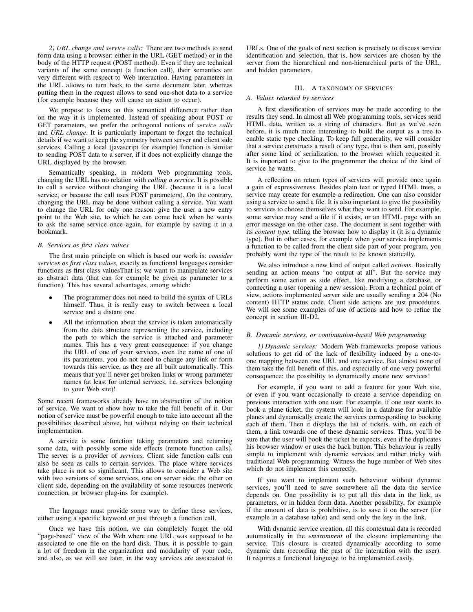*2) URL change and service calls:* There are two methods to send form data using a browser: either in the URL (GET method) or in the body of the HTTP request (POST method). Even if they are technical variants of the same concept (a function call), their semantics are very different with respect to Web interaction. Having parameters in the URL allows to turn back to the same document later, whereas putting them in the request allows to send one-shot data to a service (for example because they will cause an action to occur).

We propose to focus on this semantical difference rather than on the way it is implemented. Instead of speaking about POST or GET parameters, we prefer the orthogonal notions of *service calls* and *URL change*. It is particularly important to forget the technical details if we want to keep the symmetry between server and client side services. Calling a local (javascript for example) function is similar to sending POST data to a server, if it does not explicitly change the URL displayed by the browser.

Semantically speaking, in modern Web programming tools, changing the URL has no relation with *calling a service*. It is possible to call a service without changing the URL (because it is a local service, or because the call uses POST parameters). On the contrary, changing the URL may be done without calling a service. You want to change the URL for only one reason: give the user a new entry point to the Web site, to which he can come back when he wants to ask the same service once again, for example by saving it in a bookmark.

## *B. Services as first class values*

The first main principle on which is based our work is: *consider services as first class values,* exactly as functional languages consider functions as first class valuesThat is: we want to manipulate services as abstract data (that can for example be given as parameter to a function). This has several advantages, among which:

- The programmer does not need to build the syntax of URLs himself. Thus, it is really easy to switch between a local service and a distant one.
- All the information about the service is taken automatically from the data structure representing the service, including the path to which the service is attached and parameter names. This has a very great consequence: if you change the URL of one of your services, even the name of one of its parameters, you do not need to change any link or form towards this service, as they are all built automatically. This means that you'll never get broken links or wrong parameter names (at least for internal services, i.e. services belonging to your Web site)!

Some recent frameworks already have an abstraction of the notion of service. We want to show how to take the full benefit of it. Our notion of service must be powerful enough to take into account all the possibilities described above, but without relying on their technical implementation.

A service is some function taking parameters and returning some data, with possibly some side effects (remote function calls). The server is a provider of *services*. Client side function calls can also be seen as calls to certain services. The place where services take place is not so significant. This allows to consider a Web site with two versions of some services, one on server side, the other on client side, depending on the availability of some resources (network connection, or browser plug-ins for example).

The language must provide some way to define these services, either using a specific keyword or just through a function call.

Once we have this notion, we can completely forget the old "page-based" view of the Web where one URL was supposed to be associated to one file on the hard disk. Thus, it is possible to gain a lot of freedom in the organization and modularity of your code, and also, as we will see later, in the way services are associated to URLs. One of the goals of next section is precisely to discuss service identification and selection, that is, how services are chosen by the server from the hierarchical and non-hierarchical parts of the URL, and hidden parameters.

# III. A TAXONOMY OF SERVICES

#### *A. Values returned by services*

A first classification of services may be made according to the results they send. In almost all Web programming tools, services send HTML data, written as a string of characters. But as we've seen before, it is much more interesting to build the output as a tree to enable static type checking. To keep full generality, we will consider that a service constructs a result of any type, that is then sent, possibly after some kind of serialization, to the browser which requested it. It is important to give to the programmer the choice of the kind of service he wants.

A reflection on return types of services will provide once again a gain of expressiveness. Besides plain text or typed HTML trees, a service may create for example a redirection. One can also consider using a service to send a file. It is also important to give the possibility to services to choose themselves what they want to send. For example, some service may send a file if it exists, or an HTML page with an error message on the other case. The document is sent together with its *content type*, telling the browser how to display it (it is a dynamic type). But in other cases, for example when your service implements a function to be called from the client side part of your program, you probably want the type of the result to be known statically.

We also introduce a new kind of output called *actions*. Basically sending an action means "no output at all". But the service may perform some action as side effect, like modifying a database, or connecting a user (opening a new session). From a technical point of view, actions implemented server side are usually sending a 204 (No content) HTTP status code. Client side actions are just procedures. We will see some examples of use of actions and how to refine the concept in section III-D2.

#### *B. Dynamic services, or continuation-based Web programming*

*1) Dynamic services:* Modern Web frameworks propose various solutions to get rid of the lack of flexibility induced by a one-toone mapping between one URL and one service. But almost none of them take the full benefit of this, and especially of one very powerful consequence: the possibility to dynamically create new services!

For example, if you want to add a feature for your Web site, or even if you want occasionally to create a service depending on previous interaction with one user. For example, if one user wants to book a plane ticket, the system will look in a database for available planes and dynamically create the services corresponding to booking each of them. Then it displays the list of tickets, with, on each of them, a link towards one of these dynamic services. Thus, you'll be sure that the user will book the ticket he expects, even if he duplicates his browser window or uses the back button. This behaviour is really simple to implement with dynamic services and rather tricky with traditional Web programming. Witness the huge number of Web sites which do not implement this correctly.

If you want to implement such behaviour without dynamic services, you'll need to save somewhere all the data the service depends on. One possibility is to put all this data in the link, as parameters, or in hidden form data. Another possibility, for example if the amount of data is prohibitive, is to save it on the server (for example in a database table) and send only the key in the link.

With dynamic service creation, all this contextual data is recorded automatically in the *environment* of the closure implementing the service. This closure is created dynamically according to some dynamic data (recording the past of the interaction with the user). It requires a functional language to be implemented easily.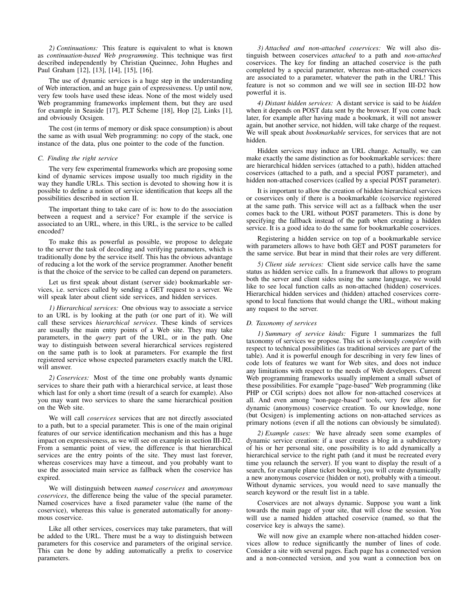*2) Continuations:* This feature is equivalent to what is known as *continuation-based Web programming*. This technique was first described independently by Christian Queinnec, John Hughes and Paul Graham [12], [13], [14], [15], [16].

The use of dynamic services is a huge step in the understanding of Web interaction, and an huge gain of expressiveness. Up until now, very few tools have used these ideas. None of the most widely used Web programming frameworks implement them, but they are used for example in Seaside [17], PLT Scheme [18], Hop [2], Links [1], and obviously Ocsigen.

The cost (in terms of memory or disk space consumption) is about the same as with usual Web programming: no copy of the stack, one instance of the data, plus one pointer to the code of the function.

#### *C. Finding the right service*

The very few experimental frameworks which are proposing some kind of dynamic services impose usually too much rigidity in the way they handle URLs. This section is devoted to showing how it is possible to define a notion of service identification that keeps all the possibilities described in section II.

The important thing to take care of is: how to do the association between a request and a service? For example if the service is associated to an URL, where, in this URL, is the service to be called encoded?

To make this as powerful as possible, we propose to delegate to the server the task of decoding and verifying parameters, which is traditionally done by the service itself. This has the obvious advantage of reducing a lot the work of the service programmer. Another benefit is that the choice of the service to be called can depend on parameters.

Let us first speak about distant (server side) bookmarkable services, i.e. services called by sending a GET request to a server. We will speak later about client side services, and hidden services.

*1) Hierarchical services:* One obvious way to associate a service to an URL is by looking at the path (or one part of it). We will call these services *hierarchical services*. These kinds of services are usually the main entry points of a Web site. They may take parameters, in the *query* part of the URL, or in the path. One way to distinguish between several hierarchical services registered on the same path is to look at parameters. For example the first registered service whose expected parameters exactly match the URL will answer.

*2) Coservices:* Most of the time one probably wants dynamic services to share their path with a hierarchical service, at least those which last for only a short time (result of a search for example). Also you may want two services to share the same hierarchical position on the Web site.

We will call *coservices* services that are not directly associated to a path, but to a special parameter. This is one of the main original features of our service identification mechanism and this has a huge impact on expressiveness, as we will see on example in section III-D2. From a semantic point of view, the difference is that hierarchical services are the entry points of the site. They must last forever, whereas coservices may have a timeout, and you probably want to use the associated main service as fallback when the coservice has expired.

We will distinguish between *named coservices* and *anonymous coservices*, the difference being the value of the special parameter. Named coservices have a fixed parameter value (the name of the coservice), whereas this value is generated automatically for anonymous coservice.

Like all other services, coservices may take parameters, that will be added to the URL. There must be a way to distinguish between parameters for this coservice and parameters of the original service. This can be done by adding automatically a prefix to coservice parameters.

*3) Attached and non-attached coservices:* We will also distinguish between coservices *attached* to a path and *non-attached* coservices. The key for finding an attached coservice is the path completed by a special parameter, whereas non-attached coservices are associated to a parameter, whatever the path in the URL! This feature is not so common and we will see in section III-D2 how powerful it is.

*4) Distant hidden services:* A distant service is said to be *hidden* when it depends on POST data sent by the browser. If you come back later, for example after having made a bookmark, it will not answer again, but another service, not hidden, will take charge of the request. We will speak about *bookmarkable* services, for services that are not hidden.

Hidden services may induce an URL change. Actually, we can make exactly the same distinction as for bookmarkable services: there are hierarchical hidden services (attached to a path), hidden attached coservices (attached to a path, and a special POST parameter), and hidden non-attached coservices (called by a special POST parameter).

It is important to allow the creation of hidden hierarchical services or coservices only if there is a bookmarkable (co)service registered at the same path. This service will act as a fallback when the user comes back to the URL without POST parameters. This is done by specifying the fallback instead of the path when creating a hidden service. It is a good idea to do the same for bookmarkable coservices.

Registering a hidden service on top of a bookmarkable service with parameters allows to have both GET and POST parameters for the same service. But bear in mind that their roles are very different.

*5) Client side services:* Client side service calls have the same status as hidden service calls. In a framework that allows to program both the server and client sides using the same language, we would like to see local function calls as non-attached (hidden) coservices. Hierarchical hidden services and (hidden) attached coservices correspond to local functions that would change the URL, without making any request to the server.

## *D. Taxonomy of services*

*1) Summary of service kinds:* Figure 1 summarizes the full taxonomy of services we propose. This set is obviously *complete* with respect to technical possibilities (as traditional services are part of the table). And it is powerful enough for describing in very few lines of code lots of features we want for Web sites, and does not induce any limitations with respect to the needs of Web developers. Current Web programming frameworks usually implement a small subset of these possibilities. For example "page-based" Web programming (like PHP or CGI scripts) does not allow for non-attached coservices at all. And even among "non-page-based" tools, very few allow for dynamic (anonymous) coservice creation. To our knowledge, none (but Ocsigen) is implementing actions on non-attached services as primary notions (even if all the notions can obviously be simulated).

*2) Example cases:* We have already seen some examples of dynamic service creation: if a user creates a blog in a subdirectory of his or her personal site, one possibility is to add dynamically a hierarchical service to the right path (and it must be recreated every time you relaunch the server). If you want to display the result of a search, for example plane ticket booking, you will create dynamically a new anonymous coservice (hidden or not), probably with a timeout. Without dynamic services, you would need to save manually the search keyword or the result list in a table.

Coservices are not always dynamic. Suppose you want a link towards the main page of your site, that will close the session. You will use a named hidden attached coservice (named, so that the coservice key is always the same).

We will now give an example where non-attached hidden coservices allow to reduce significantly the number of lines of code. Consider a site with several pages. Each page has a connected version and a non-connected version, and you want a connection box on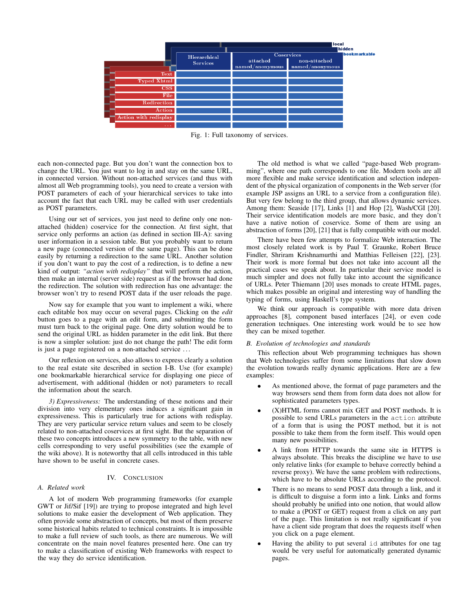

Fig. 1: Full taxonomy of services.

each non-connected page. But you don't want the connection box to change the URL. You just want to log in and stay on the same URL, in connected version. Without non-attached services (and thus with almost all Web programming tools), you need to create a version with POST parameters of each of your hierarchical services to take into account the fact that each URL may be called with user credentials as POST parameters.

Using our set of services, you just need to define only one nonattached (hidden) coservice for the connection. At first sight, that service only performs an action (as defined in section III-A): saving user information in a session table. But you probably want to return a new page (connected version of the same page). This can be done easily by returning a redirection to the same URL. Another solution if you don't want to pay the cost of a redirection, is to define a new kind of output: *"action with redisplay"* that will perform the action, then make an internal (server side) request as if the browser had done the redirection. The solution with redirection has one advantage: the browser won't try to resend POST data if the user reloads the page.

Now say for example that you want to implement a wiki, where each editable box may occur on several pages. Clicking on the *edit* button goes to a page with an edit form, and submitting the form must turn back to the original page. One dirty solution would be to send the original URL as hidden parameter in the edit link. But there is now a simpler solution: just do not change the path! The edit form is just a page registered on a non-attached service . . .

Our reflexion on services, also allows to express clearly a solution to the real estate site described in section I-B. Use (for example) one bookmarkable hierarchical service for displaying one piece of advertisement, with additional (hidden or not) parameters to recall the information about the search.

*3) Expressiveness:* The understanding of these notions and their division into very elementary ones induces a significant gain in expressiveness. This is particularly true for actions with redisplay. They are very particular service return values and seem to be closely related to non-attached coservices at first sight. But the separation of these two concepts introduces a new symmetry to the table, with new cells corresponding to very useful possibilities (see the example of the wiki above). It is noteworthy that all cells introduced in this table have shown to be useful in concrete cases.

## IV. CONCLUSION

#### *A. Related work*

A lot of modern Web programming frameworks (for example GWT or Jif/Sif [19]) are trying to propose integrated and high level solutions to make easier the development of Web application. They often provide some abstraction of concepts, but most of them preserve some historical habits related to technical constraints. It is impossible to make a full review of such tools, as there are numerous. We will concentrate on the main novel features presented here. One can try to make a classification of existing Web frameworks with respect to the way they do service identification.

The old method is what we called "page-based Web programming", where one path corresponds to one file. Modern tools are all more flexible and make service identification and selection independent of the physical organization of components in the Web server (for example JSP assigns an URL to a service from a configuration file). But very few belong to the third group, that allows dynamic services. Among them: Seaside [17], Links [1] and Hop [2], Wash/CGI [20]. Their service identification models are more basic, and they don't have a native notion of coservice. Some of them are using an abstraction of forms [20], [21] that is fully compatible with our model.

There have been few attempts to formalize Web interaction. The most closely related work is by Paul T. Graunke, Robert Bruce Findler, Shriram Krishnamurthi and Matthias Felleisen [22], [23]. Their work is more formal but does not take into account all the practical cases we speak about. In particular their service model is much simpler and does not fully take into account the significance of URLs. Peter Thiemann [20] uses monads to create HTML pages, which makes possible an original and interesting way of handling the typing of forms, using Haskell's type system.

We think our approach is compatible with more data driven approaches [8], component based interfaces [24], or even code generation techniques. One interesting work would be to see how they can be mixed together.

#### *B. Evolution of technologies and standards*

This reflection about Web programming techniques has shown that Web technologies suffer from some limitations that slow down the evolution towards really dynamic applications. Here are a few examples:

- As mentioned above, the format of page parameters and the way browsers send them from form data does not allow for sophisticated parameters types.
- $(X)$ HTML forms cannot mix GET and POST methods. It is possible to send URLs parameters in the action attribute of a form that is using the POST method, but it is not possible to take them from the form itself. This would open many new possibilities.
- A link from HTTP towards the same site in HTTPS is always absolute. This breaks the discipline we have to use only relative links (for example to behave correctly behind a reverse proxy). We have the same problem with redirections, which have to be absolute URLs according to the protocol.
- There is no means to send POST data through a link, and it is difficult to disguise a form into a link. Links and forms should probably be unified into one notion, that would allow to make a (POST or GET) request from a click on any part of the page. This limitation is not really significant if you have a client side program that does the requests itself when you click on a page element.
- Having the ability to put several id attributes for one tag would be very useful for automatically generated dynamic pages.